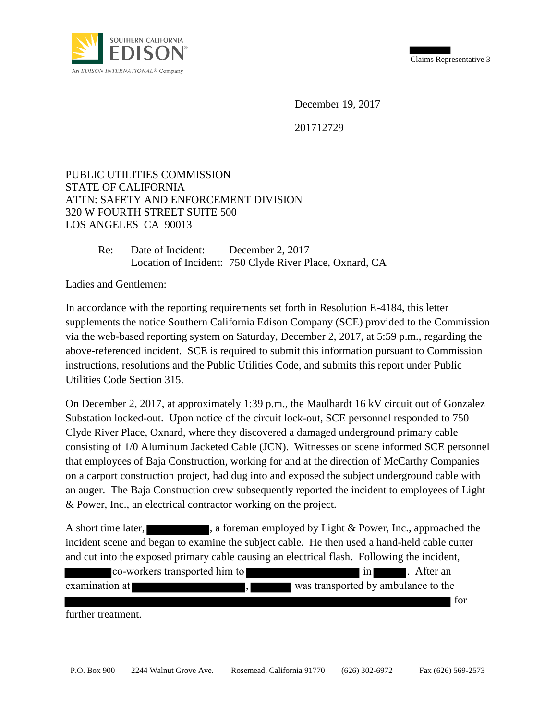Claims Representative 3



December 19, 2017

201712729

## PUBLIC UTILITIES COMMISSION STATE OF CALIFORNIA ATTN: SAFETY AND ENFORCEMENT DIVISION 320 W FOURTH STREET SUITE 500 LOS ANGELES CA 90013

Re: Date of Incident: December 2, 2017 Location of Incident: 750 Clyde River Place, Oxnard, CA

Ladies and Gentlemen:

In accordance with the reporting requirements set forth in Resolution E-4184, this letter supplements the notice Southern California Edison Company (SCE) provided to the Commission via the web-based reporting system on Saturday, December 2, 2017, at 5:59 p.m., regarding the above-referenced incident. SCE is required to submit this information pursuant to Commission instructions, resolutions and the Public Utilities Code, and submits this report under Public Utilities Code Section 315.

On December 2, 2017, at approximately 1:39 p.m., the Maulhardt 16 kV circuit out of Gonzalez Substation locked-out. Upon notice of the circuit lock-out, SCE personnel responded to 750 Clyde River Place, Oxnard, where they discovered a damaged underground primary cable consisting of 1/0 Aluminum Jacketed Cable (JCN). Witnesses on scene informed SCE personnel that employees of Baja Construction, working for and at the direction of McCarthy Companies on a carport construction project, had dug into and exposed the subject underground cable with an auger. The Baja Construction crew subsequently reported the incident to employees of Light & Power, Inc., an electrical contractor working on the project.

A short time later,  $\blacksquare$ , a foreman employed by Light & Power, Inc., approached the incident scene and began to examine the subject cable. He then used a hand-held cable cutter and cut into the exposed primary cable causing an electrical flash. Following the incident,

|                               | <b>co-workers transported him to</b> | $\ln$                               | . After an |
|-------------------------------|--------------------------------------|-------------------------------------|------------|
| examination at $\blacksquare$ |                                      | was transported by ambulance to the |            |
|                               |                                      |                                     | for        |

further treatment.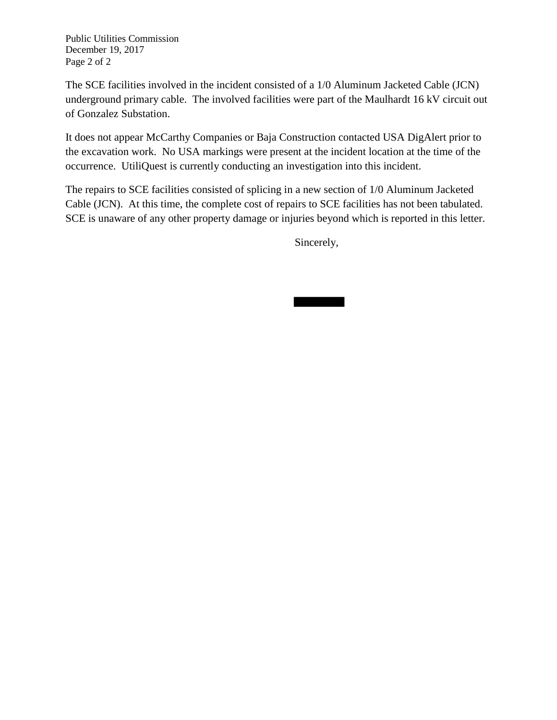Public Utilities Commission December 19, 2017 Page 2 of 2

The SCE facilities involved in the incident consisted of a 1/0 Aluminum Jacketed Cable (JCN) underground primary cable. The involved facilities were part of the Maulhardt 16 kV circuit out of Gonzalez Substation.

It does not appear McCarthy Companies or Baja Construction contacted USA DigAlert prior to the excavation work. No USA markings were present at the incident location at the time of the occurrence. UtiliQuest is currently conducting an investigation into this incident.

The repairs to SCE facilities consisted of splicing in a new section of 1/0 Aluminum Jacketed Cable (JCN). At this time, the complete cost of repairs to SCE facilities has not been tabulated. SCE is unaware of any other property damage or injuries beyond which is reported in this letter.

Sincerely,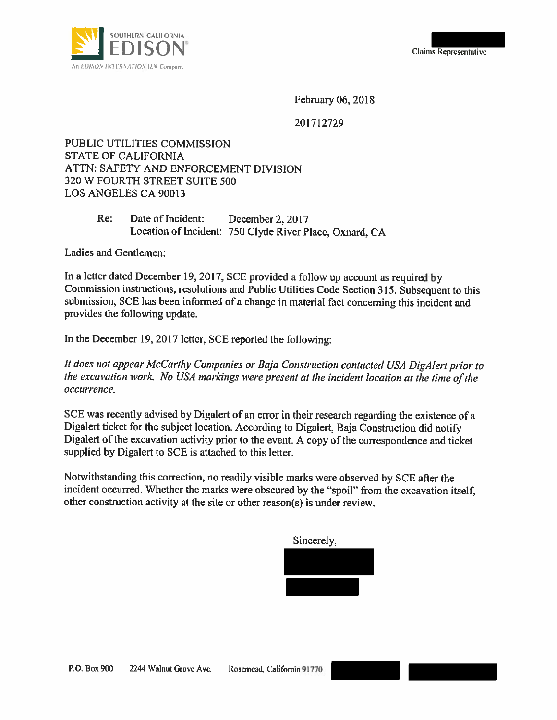

February 06, 2018

201712729

PUBLIC UTILITIES COMMISSION **STATE OF CALIFORNIA** ATTN: SAFETY AND ENFORCEMENT DIVISION 320 W FOURTH STREET SUITE 500 LOS ANGELES CA 90013

> $Re:$ Date of Incident: December 2, 2017 Location of Incident: 750 Clyde River Place, Oxnard, CA

Ladies and Gentlemen:

In a letter dated December 19, 2017, SCE provided a follow up account as required by Commission instructions, resolutions and Public Utilities Code Section 315. Subsequent to this submission, SCE has been informed of a change in material fact concerning this incident and provides the following update.

In the December 19, 2017 letter, SCE reported the following:

It does not appear McCarthy Companies or Baja Construction contacted USA DigAlert prior to the excavation work. No USA markings were present at the incident location at the time of the occurrence.

SCE was recently advised by Digalert of an error in their research regarding the existence of a Digalert ticket for the subject location. According to Digalert, Baja Construction did notify Digalert of the excavation activity prior to the event. A copy of the correspondence and ticket supplied by Digalert to SCE is attached to this letter.

Notwithstanding this correction, no readily visible marks were observed by SCE after the incident occurred. Whether the marks were obscured by the "spoil" from the excavation itself, other construction activity at the site or other reason(s) is under review.

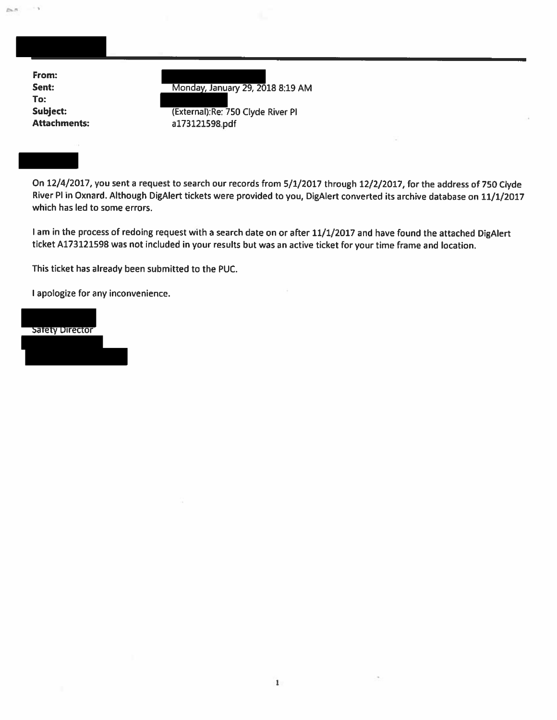| From:               |                                    |        |  |
|---------------------|------------------------------------|--------|--|
| Sent:               | Monday, January 29, 2018 8:19 AM   |        |  |
| To:                 |                                    |        |  |
| Subject:            | (External): Re: 750 Clyde River Pl |        |  |
| <b>Attachments:</b> | a173121598.pdf                     |        |  |
|                     |                                    | $\sim$ |  |
|                     |                                    |        |  |

On 12/4/2017, you sent a request to search our records from 5/1/2017 through 12/2/2017, for the address of 750 Clyde River PI in Oxnard. Although DigAlert tickets were provided to you, DigAlert converted its archive database on 11/1/2017 which has led to some errors.

I am in the process of redoing request with a search date on or after 11/1/2017 and have found the attached DigAlert ticket A173121598 was not included in your results but was an active ticket for your time frame and location.

 $\mathbf{1}$ 

This ticket has already been submitted to the PUC.

I apologize for any inconvenience.

Satety Director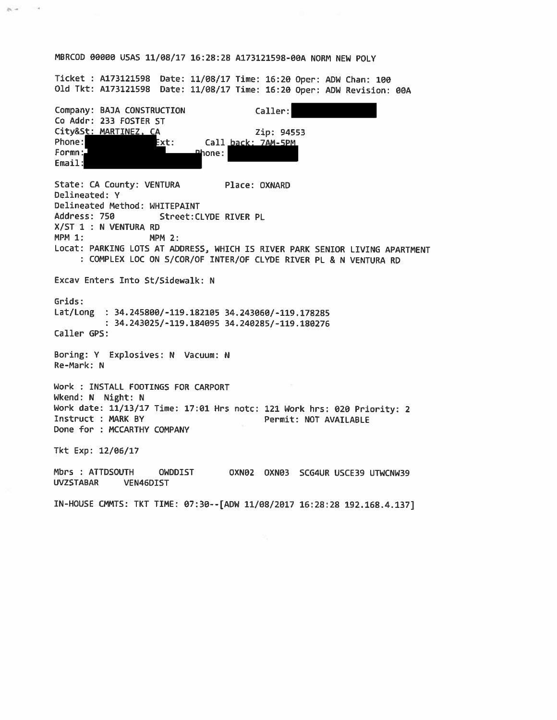## MBRCOD 00000 USAS 11/08/17 16:28:28 A173121598-00A NORM NEW POLY

Ticket : A173121598 Date: 11/08/17 Time: 16:20 Oper: ADW Chan: 100 Old Tkt: A173121598 Date: 11/08/17 Time: 16:20 Oper: ADW Revision: 00A

Company: BAJA CONSTRUCTION Caller: Co Addr: 233 FOSTER ST City&St: MARTINEZ, CA Zip: 94553 Phone: Ext: Call back: 7AM-5PM  $Form: \mathbb{J}$ Phone: Email: State: CA County: VENTURA Place: OXNARD Delineated: Y Delineated Method: WHITEPAINT Address: 750 Street: CLYDE RIVER PL X/ST 1 : N VENTURA RD  $MPM 1:$ **MPM 2:** Locat: PARKING LOTS AT ADDRESS, WHICH IS RIVER PARK SENIOR LIVING APARTMENT : COMPLEX LOC ON S/COR/OF INTER/OF CLYDE RIVER PL & N VENTURA RD Excav Enters Into St/Sidewalk: N Grids: Lat/Long : 34.245800/-119.182105 34.243060/-119.178285 : 34.243025/-119.184095 34.240285/-119.180276 Caller GPS: Boring: Y Explosives: N Vacuum: N Re-Mark: N Work : INSTALL FOOTINGS FOR CARPORT Wkend: N Night: N Work date: 11/13/17 Time: 17:01 Hrs notc: 121 Work hrs: 020 Priority: 2 Instruct : MARK BY Permit: NOT AVAILABLE Done for : MCCARTHY COMPANY Tkt Exp: 12/06/17 Mbrs : ATTDSOUTH OWDDIST OXN02 OXN03 SCG4UR USCE39 UTWCNW39 **UVZSTABAR** VEN46DIST IN-HOUSE CMMTS: TKT TIME: 07:30 -- [ADW 11/08/2017 16:28:28 192.168.4.137]

 $\rightarrow$ 

 $\mu_1$  .  $\mu_2$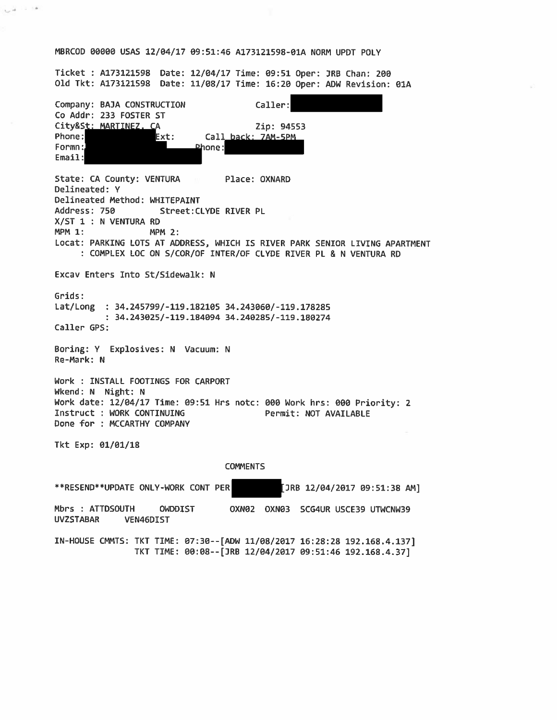## MBRCOD 00000 USAS 12/04/17 09:51:46 A173121598-01A NORM UPDT POLY

 $\sim +$ 

 $-16$ 

Ticket : A173121598 Date: 12/04/17 Time: 09:51 Oper: JRB Chan: 200 Old Tkt: A173121598 Date: 11/08/17 Time: 16:20 Oper: ADW Revision: 01A

Company: BAJA CONSTRUCTION Caller: Co Addr: 233 FOSTER ST City&St: MARTINEZ. Zip: 94553  $\Gamma$ Phone: Call back: 7AM-5PM Ext: Formn: Phone: Email: State: CA County: VENTURA Place: OXNARD Delineated: Y Delineated Method: WHITEPAINT Address: 750 Street: CLYDE RIVER PL X/ST 1 : N VENTURA RD **MPM 1: MPM 2:** Locat: PARKING LOTS AT ADDRESS, WHICH IS RIVER PARK SENIOR LIVING APARTMENT : COMPLEX LOC ON S/COR/OF INTER/OF CLYDE RIVER PL & N VENTURA RD Excav Enters Into St/Sidewalk: N Grids: Lat/Long  $: 34.245799/-119.182105 34.243060/-119.178285$ : 34.243025/-119.184094 34.240285/-119.180274 Caller GPS: Boring: Y Explosives: N Vacuum: N Re-Mark: N Work : INSTALL FOOTINGS FOR CARPORT Wkend: N Night: N Work date: 12/04/17 Time: 09:51 Hrs notc: 000 Work hrs: 000 Priority: 2 Instruct : WORK CONTINUING Permit: NOT AVAILABLE Done for : MCCARTHY COMPANY Tkt Exp: 01/01/18 **COMMENTS** \*\*RESEND\*\*UPDATE ONLY-WORK CONT PER [JRB 12/04/2017 09:51:38 AM] Mbrs : ATTDSOUTH OXN02 OXN03 SCG4UR USCE39 UTWCNW39 OWDDIST **UVZSTABAR** VEN46DIST IN-HOUSE CMMTS: TKT TIME: 07:30--[ADW 11/08/2017 16:28:28 192.168.4.137] TKT TIME: 00:08--[JRB 12/04/2017 09:51:46 192.168.4.37]